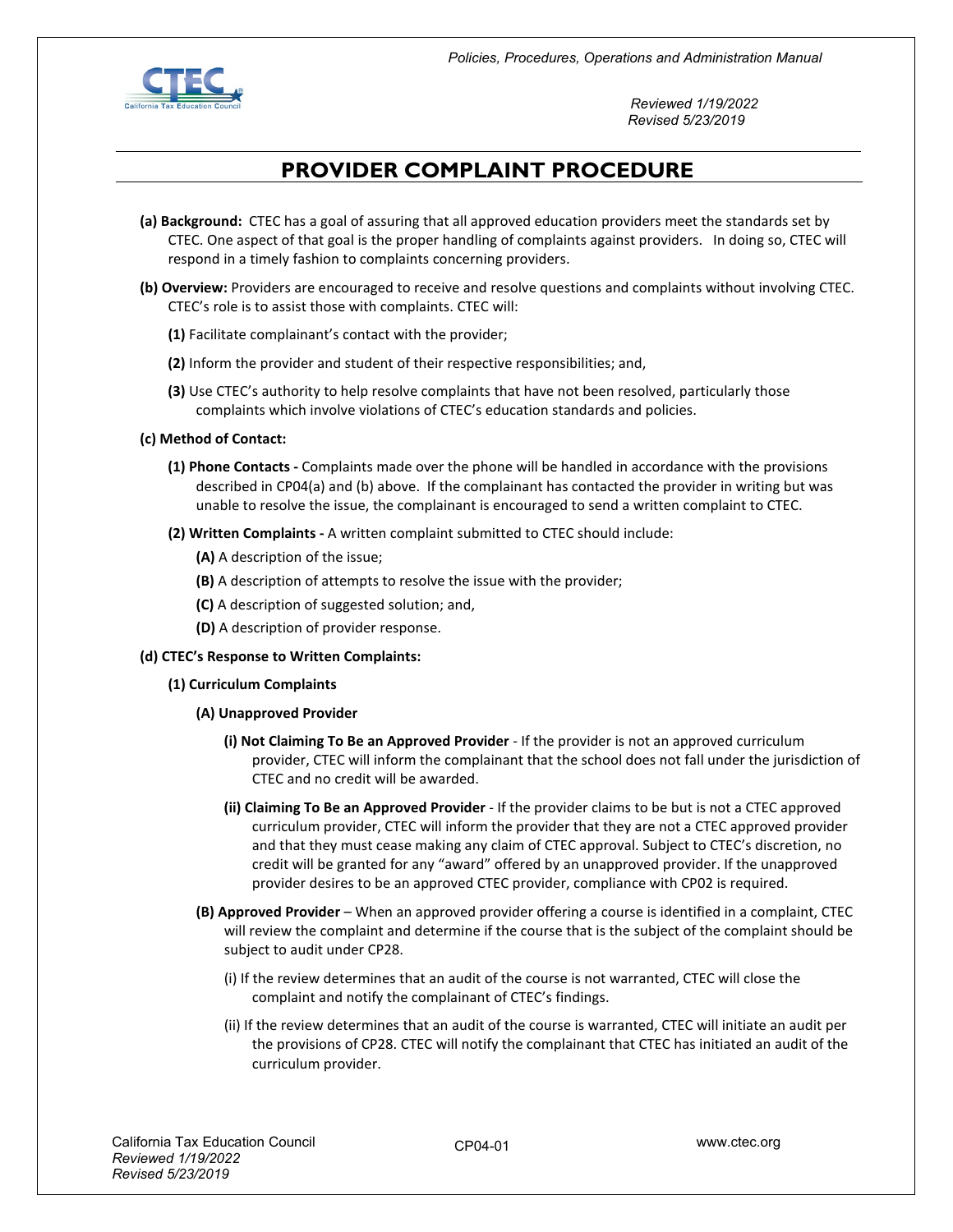

 *Reviewed 1/19/2022 Revised 5/23/2019*

## **PROVIDER COMPLAINT PROCEDURE**

- **(a) Background:** CTEC has a goal of assuring that all approved education providers meet the standards set by CTEC. One aspect of that goal is the proper handling of complaints against providers. In doing so, CTEC will respond in a timely fashion to complaints concerning providers.
- **(b) Overview:** Providers are encouraged to receive and resolve questions and complaints without involving CTEC. CTEC's role is to assist those with complaints. CTEC will:
	- **(1)** Facilitate complainant's contact with the provider;
	- **(2)** Inform the provider and student of their respective responsibilities; and,
	- **(3)** Use CTEC's authority to help resolve complaints that have not been resolved, particularly those complaints which involve violations of CTEC's education standards and policies.
- **(c) Method of Contact:** 
	- **(1) Phone Contacts -** Complaints made over the phone will be handled in accordance with the provisions described in CP04(a) and (b) above. If the complainant has contacted the provider in writing but was unable to resolve the issue, the complainant is encouraged to send a written complaint to CTEC.
	- **(2) Written Complaints -** A written complaint submitted to CTEC should include:
		- **(A)** A description of the issue;
		- **(B)** A description of attempts to resolve the issue with the provider;
		- **(C)** A description of suggested solution; and,
		- **(D)** A description of provider response.
- **(d) CTEC's Response to Written Complaints:** 
	- **(1) Curriculum Complaints** 
		- **(A) Unapproved Provider** 
			- **(i) Not Claiming To Be an Approved Provider**  If the provider is not an approved curriculum provider, CTEC will inform the complainant that the school does not fall under the jurisdiction of CTEC and no credit will be awarded.
			- **(ii) Claiming To Be an Approved Provider**  If the provider claims to be but is not a CTEC approved curriculum provider, CTEC will inform the provider that they are not a CTEC approved provider and that they must cease making any claim of CTEC approval. Subject to CTEC's discretion, no credit will be granted for any "award" offered by an unapproved provider. If the unapproved provider desires to be an approved CTEC provider, compliance with CP02 is required.
		- **(B) Approved Provider**  When an approved provider offering a course is identified in a complaint, CTEC will review the complaint and determine if the course that is the subject of the complaint should be subject to audit under CP28.
			- (i) If the review determines that an audit of the course is not warranted, CTEC will close the complaint and notify the complainant of CTEC's findings.
			- (ii) If the review determines that an audit of the course is warranted, CTEC will initiate an audit per the provisions of CP28. CTEC will notify the complainant that CTEC has initiated an audit of the curriculum provider.